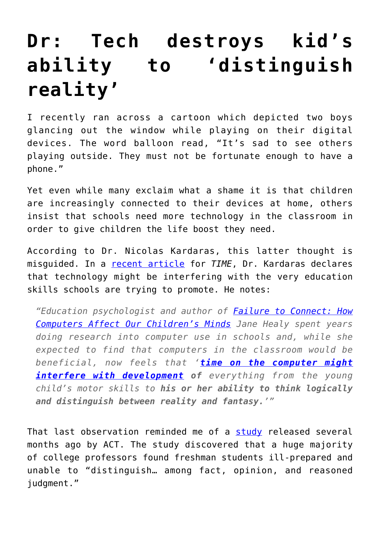## **[Dr: Tech destroys kid's](https://intellectualtakeout.org/2016/09/dr-tech-destroys-kids-ability-to-distinguish-reality/) [ability to 'distinguish](https://intellectualtakeout.org/2016/09/dr-tech-destroys-kids-ability-to-distinguish-reality/) [reality'](https://intellectualtakeout.org/2016/09/dr-tech-destroys-kids-ability-to-distinguish-reality/)**

I recently ran across a cartoon which depicted two boys glancing out the window while playing on their digital devices. The word balloon read, "It's sad to see others playing outside. They must not be fortunate enough to have a phone."

Yet even while many exclaim what a shame it is that children are increasingly connected to their devices at home, others insist that schools need more technology in the classroom in order to give children the life boost they need.

According to Dr. Nicolas Kardaras, this latter thought is misguided. In a [recent article](http://time.com/4474496/screens-schools-hoax/) for *TIME*, Dr. Kardaras declares that technology might be interfering with the very education skills schools are trying to promote. He notes:

*"Education psychologist and author of [Failure to Connect: How](https://www.amazon.com/gp/product/0684855399/ref=as_li_qf_sp_asin_il_tl?ie=UTF8&tag=intelltakeo0d-20&camp=1789&creative=9325&linkCode=as2&creativeASIN=0684855399&linkId=4261e3bac06e1bb402fa1fa00bee34fe) [Computers Affect Our Children's Minds](https://www.amazon.com/gp/product/0684855399/ref=as_li_qf_sp_asin_il_tl?ie=UTF8&tag=intelltakeo0d-20&camp=1789&creative=9325&linkCode=as2&creativeASIN=0684855399&linkId=4261e3bac06e1bb402fa1fa00bee34fe) Jane Healy spent years doing research into computer use in schools and, while she expected to find that computers in the classroom would be beneficial, now feels that '[time on the computer might](http://www.montessorisociety.org.uk/article/do-young-children-need-computers) [interfere with development](http://www.montessorisociety.org.uk/article/do-young-children-need-computers)* of everything from the young *child's motor skills to his or her ability to think logically and distinguish between reality and fantasy.'"*

That last observation reminded me of a [study](https://www.intellectualtakeout.org/blog/act-college-kids-cant-discern-between-fact-opinion) released several months ago by ACT. The study discovered that a huge majority of college professors found freshman students ill-prepared and unable to "distinguish… among fact, opinion, and reasoned judgment."